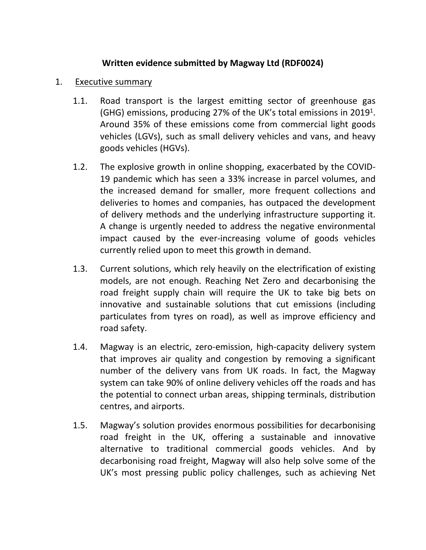## **Written evidence submitted by Magway Ltd (RDF0024)**

- 1. Executive summary
	- 1.1. Road transport is the largest emitting sector of greenhouse gas (GHG) emissions, producing 27% of the UK's total emissions in 2019<sup>1</sup>. Around 35% of these emissions come from commercial light goods vehicles (LGVs), such as small delivery vehicles and vans, and heavy goods vehicles (HGVs).
	- 1.2. The explosive growth in online shopping, exacerbated by the COVID-19 pandemic which has seen a 33% increase in parcel volumes, and the increased demand for smaller, more frequent collections and deliveries to homes and companies, has outpaced the development of delivery methods and the underlying infrastructure supporting it. A change is urgently needed to address the negative environmental impact caused by the ever-increasing volume of goods vehicles currently relied upon to meet this growth in demand.
	- 1.3. Current solutions, which rely heavily on the electrification of existing models, are not enough. Reaching Net Zero and decarbonising the road freight supply chain will require the UK to take big bets on innovative and sustainable solutions that cut emissions (including particulates from tyres on road), as well as improve efficiency and road safety.
	- 1.4. Magway is an electric, zero-emission, high-capacity delivery system that improves air quality and congestion by removing a significant number of the delivery vans from UK roads. In fact, the Magway system can take 90% of online delivery vehicles off the roads and has the potential to connect urban areas, shipping terminals, distribution centres, and airports.
	- 1.5. Magway's solution provides enormous possibilities for decarbonising road freight in the UK, offering a sustainable and innovative alternative to traditional commercial goods vehicles. And by decarbonising road freight, Magway will also help solve some of the UK's most pressing public policy challenges, such as achieving Net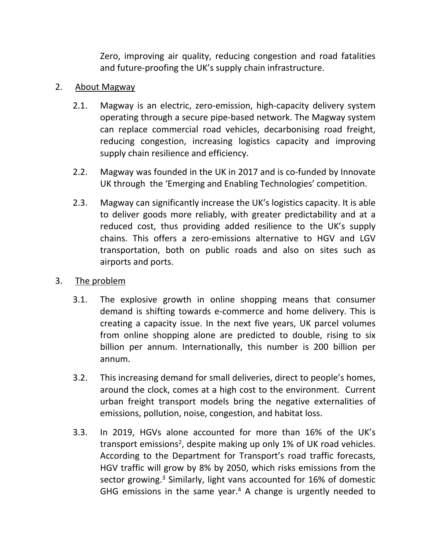Zero, improving air quality, reducing congestion and road fatalities and future-proofing the UK's supply chain infrastructure.

## 2. About Magway

- 2.1. Magway is an electric, zero-emission, high-capacity delivery system operating through a secure pipe-based network. The Magway system can replace commercial road vehicles, decarbonising road freight, reducing congestion, increasing logistics capacity and improving supply chain resilience and efficiency.
- 2.2. Magway was founded in the UK in 2017 and is co-funded by Innovate UK through the 'Emerging and Enabling Technologies' competition.
- 2.3. Magway can significantly increase the UK's logistics capacity. It is able to deliver goods more reliably, with greater predictability and at a reduced cost, thus providing added resilience to the UK's supply chains. This offers a zero-emissions alternative to HGV and LGV transportation, both on public roads and also on sites such as airports and ports.
- 3. The problem
	- 3.1. The explosive growth in online shopping means that consumer demand is shifting towards e-commerce and home delivery. This is creating a capacity issue. In the next five years, UK parcel volumes from online shopping alone are predicted to double, rising to six billion per annum. Internationally, this number is 200 billion per annum.
	- 3.2. This increasing demand for small deliveries, direct to people's homes, around the clock, comes at a high cost to the environment. Current urban freight transport models bring the negative externalities of emissions, pollution, noise, congestion, and habitat loss.
	- 3.3. In 2019, HGVs alone accounted for more than 16% of the UK's transport emissions<sup>2</sup>, despite making up only 1% of UK road vehicles. According to the Department for Transport's road traffic forecasts, HGV traffic will grow by 8% by 2050, which risks emissions from the sector growing.<sup>3</sup> Similarly, light vans accounted for 16% of domestic GHG emissions in the same year. $4$  A change is urgently needed to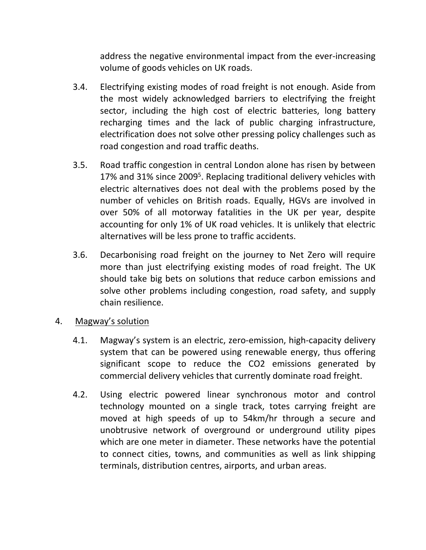address the negative environmental impact from the ever-increasing volume of goods vehicles on UK roads.

- 3.4. Electrifying existing modes of road freight is not enough. Aside from the most widely acknowledged barriers to electrifying the freight sector, including the high cost of electric batteries, long battery recharging times and the lack of public charging infrastructure, electrification does not solve other pressing policy challenges such as road congestion and road traffic deaths.
- 3.5. Road traffic congestion in central London alone has risen by between 17% and 31% since 2009<sup>5</sup>. Replacing traditional delivery vehicles with electric alternatives does not deal with the problems posed by the number of vehicles on British roads. Equally, HGVs are involved in over 50% of all motorway fatalities in the UK per year, despite accounting for only 1% of UK road vehicles. It is unlikely that electric alternatives will be less prone to traffic accidents.
- 3.6. Decarbonising road freight on the journey to Net Zero will require more than just electrifying existing modes of road freight. The UK should take big bets on solutions that reduce carbon emissions and solve other problems including congestion, road safety, and supply chain resilience.
- 4. Magway's solution
	- 4.1. Magway's system is an electric, zero-emission, high-capacity delivery system that can be powered using renewable energy, thus offering significant scope to reduce the CO2 emissions generated by commercial delivery vehicles that currently dominate road freight.
	- 4.2. Using electric powered linear synchronous motor and control technology mounted on a single track, totes carrying freight are moved at high speeds of up to 54km/hr through a secure and unobtrusive network of overground or underground utility pipes which are one meter in diameter. These networks have the potential to connect cities, towns, and communities as well as link shipping terminals, distribution centres, airports, and urban areas.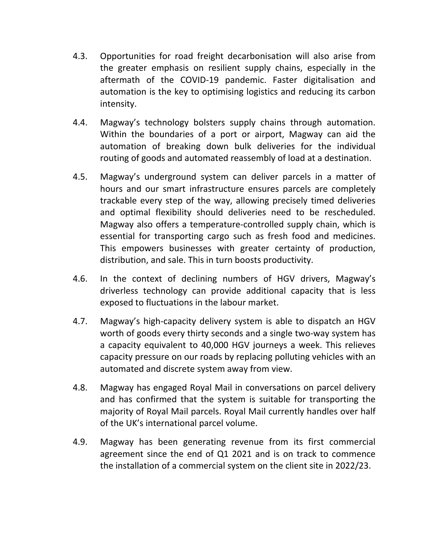- 4.3. Opportunities for road freight decarbonisation will also arise from the greater emphasis on resilient supply chains, especially in the aftermath of the COVID-19 pandemic. Faster digitalisation and automation is the key to optimising logistics and reducing its carbon intensity.
- 4.4. Magway's technology bolsters supply chains through automation. Within the boundaries of a port or airport, Magway can aid the automation of breaking down bulk deliveries for the individual routing of goods and automated reassembly of load at a destination.
- 4.5. Magway's underground system can deliver parcels in a matter of hours and our smart infrastructure ensures parcels are completely trackable every step of the way, allowing precisely timed deliveries and optimal flexibility should deliveries need to be rescheduled. Magway also offers a temperature-controlled supply chain, which is essential for transporting cargo such as fresh food and medicines. This empowers businesses with greater certainty of production, distribution, and sale. This in turn boosts productivity.
- 4.6. In the context of declining numbers of HGV drivers, Magway's driverless technology can provide additional capacity that is less exposed to fluctuations in the labour market.
- 4.7. Magway's high-capacity delivery system is able to dispatch an HGV worth of goods every thirty seconds and a single two-way system has a capacity equivalent to 40,000 HGV journeys a week. This relieves capacity pressure on our roads by replacing polluting vehicles with an automated and discrete system away from view.
- 4.8. Magway has engaged Royal Mail in conversations on parcel delivery and has confirmed that the system is suitable for transporting the majority of Royal Mail parcels. Royal Mail currently handles over half of the UK's international parcel volume.
- 4.9. Magway has been generating revenue from its first commercial agreement since the end of Q1 2021 and is on track to commence the installation of a commercial system on the client site in 2022/23.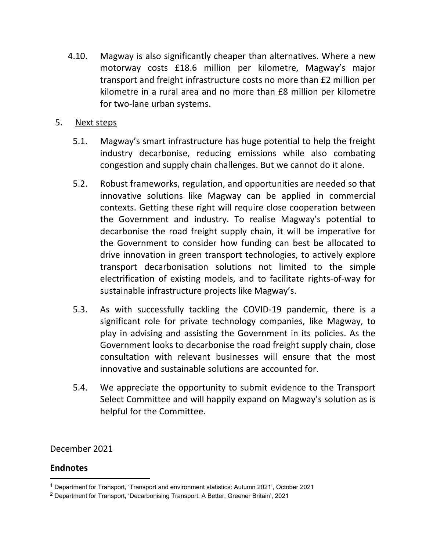- 4.10. Magway is also significantly cheaper than alternatives. Where a new motorway costs £18.6 million per kilometre, Magway's major transport and freight infrastructure costs no more than £2 million per kilometre in a rural area and no more than £8 million per kilometre for two-lane urban systems.
- 5. Next steps
	- 5.1. Magway's smart infrastructure has huge potential to help the freight industry decarbonise, reducing emissions while also combating congestion and supply chain challenges. But we cannot do it alone.
	- 5.2. Robust frameworks, regulation, and opportunities are needed so that innovative solutions like Magway can be applied in commercial contexts. Getting these right will require close cooperation between the Government and industry. To realise Magway's potential to decarbonise the road freight supply chain, it will be imperative for the Government to consider how funding can best be allocated to drive innovation in green transport technologies, to actively explore transport decarbonisation solutions not limited to the simple electrification of existing models, and to facilitate rights-of-way for sustainable infrastructure projects like Magway's.
	- 5.3. As with successfully tackling the COVID-19 pandemic, there is a significant role for private technology companies, like Magway, to play in advising and assisting the Government in its policies. As the Government looks to decarbonise the road freight supply chain, close consultation with relevant businesses will ensure that the most innovative and sustainable solutions are accounted for.
	- 5.4. We appreciate the opportunity to submit evidence to the Transport Select Committee and will happily expand on Magway's solution as is helpful for the Committee.

December 2021

## **Endnotes**

<sup>1</sup> Department for Transport, 'Transport and environment statistics: Autumn 2021', October 2021

<sup>2</sup> Department for Transport, 'Decarbonising Transport: A Better, Greener Britain', 2021